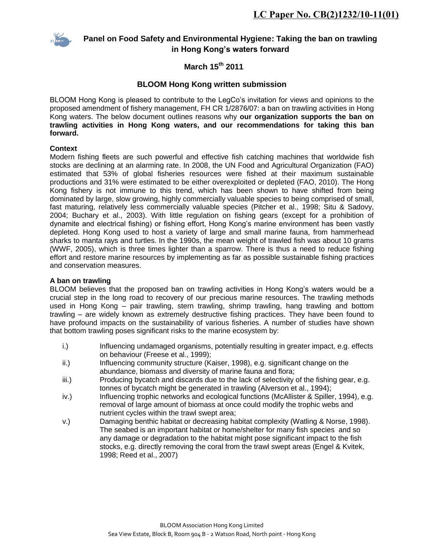

# **Panel on Food Safety and Environmental Hygiene: Taking the ban on trawling in Hong Kong's waters forward**

# **March 15th 2011**

# **BLOOM Hong Kong written submission**

BLOOM Hong Kong is pleased to contribute to the LegCo's invitation for views and opinions to the proposed amendment of fishery management, FH CR 1/2876/07: a ban on trawling activities in Hong Kong waters. The below document outlines reasons why **our organization supports the ban on trawling activities in Hong Kong waters, and our recommendations for taking this ban forward.** 

#### **Context**

Modern fishing fleets are such powerful and effective fish catching machines that worldwide fish stocks are declining at an alarming rate. In 2008, the UN Food and Agricultural Organization (FAO) estimated that 53% of global fisheries resources were fished at their maximum sustainable productions and 31% were estimated to be either overexploited or depleted (FAO, 2010). The Hong Kong fishery is not immune to this trend, which has been shown to have shifted from being dominated by large, slow growing, highly commercially valuable species to being comprised of small, fast maturing, relatively less commercially valuable species (Pitcher et al., 1998; Situ & Sadovy, 2004; Buchary et al., 2003). With little regulation on fishing gears (except for a prohibition of dynamite and electrical fishing) or fishing effort, Hong Kong's marine environment has been vastly depleted. Hong Kong used to host a variety of large and small marine fauna, from hammerhead sharks to manta rays and turtles. In the 1990s, the mean weight of trawled fish was about 10 grams (WWF, 2005), which is three times lighter than a sparrow. There is thus a need to reduce fishing effort and restore marine resources by implementing as far as possible sustainable fishing practices and conservation measures.

#### **A ban on trawling**

BLOOM believes that the proposed ban on trawling activities in Hong Kong's waters would be a crucial step in the long road to recovery of our precious marine resources. The trawling methods used in Hong Kong – pair trawling, stern trawling, shrimp trawling, hang trawling and bottom trawling – are widely known as extremely destructive fishing practices. They have been found to have profound impacts on the sustainability of various fisheries. A number of studies have shown that bottom trawling poses significant risks to the marine ecosystem by:

- i.) Influencing undamaged organisms, potentially resulting in greater impact, e.g. effects on behaviour (Freese et al., 1999);
- ii.) Influencing community structure (Kaiser, 1998), e.g. significant change on the abundance, biomass and diversity of marine fauna and flora;
- iii.) Producing bycatch and discards due to the lack of selectivity of the fishing gear, e.g. tonnes of bycatch might be generated in trawling (Alverson et al., 1994);
- iv.) Influencing trophic networks and ecological functions (McAllister & Spiller, 1994), e.g. removal of large amount of biomass at once could modify the trophic webs and nutrient cycles within the trawl swept area;
- v.) Damaging benthic habitat or decreasing habitat complexity (Watling & Norse, 1998). The seabed is an important habitat or home/shelter for many fish species and so any damage or degradation to the habitat might pose significant impact to the fish stocks, e.g. directly removing the coral from the trawl swept areas (Engel & Kvitek, 1998; Reed et al., 2007)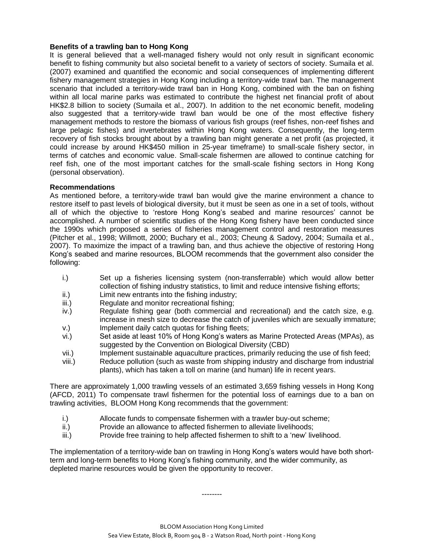#### **Benefits of a trawling ban to Hong Kong**

It is general believed that a well-managed fishery would not only result in significant economic benefit to fishing community but also societal benefit to a variety of sectors of society. Sumaila et al. (2007) examined and quantified the economic and social consequences of implementing different fishery management strategies in Hong Kong including a territory-wide trawl ban. The management scenario that included a territory-wide trawl ban in Hong Kong, combined with the ban on fishing within all local marine parks was estimated to contribute the highest net financial profit of about HK\$2.8 billion to society (Sumaila et al., 2007). In addition to the net economic benefit, modeling also suggested that a territory-wide trawl ban would be one of the most effective fishery management methods to restore the biomass of various fish groups (reef fishes, non-reef fishes and large pelagic fishes) and invertebrates within Hong Kong waters. Consequently, the long-term recovery of fish stocks brought about by a trawling ban might generate a net profit (as projected, it could increase by around HK\$450 million in 25-year timeframe) to small-scale fishery sector, in terms of catches and economic value. Small-scale fishermen are allowed to continue catching for reef fish, one of the most important catches for the small-scale fishing sectors in Hong Kong (personal observation).

#### **Recommendations**

As mentioned before, a territory-wide trawl ban would give the marine environment a chance to restore itself to past levels of biological diversity, but it must be seen as one in a set of tools, without all of which the objective to 'restore Hong Kong's seabed and marine resources' cannot be accomplished. A number of scientific studies of the Hong Kong fishery have been conducted since the 1990s which proposed a series of fisheries management control and restoration measures (Pitcher et al., 1998; Willmott, 2000; Buchary et al., 2003; Cheung & Sadovy, 2004; Sumaila et al., 2007). To maximize the impact of a trawling ban, and thus achieve the objective of restoring Hong Kong's seabed and marine resources, BLOOM recommends that the government also consider the following:

- i.) Set up a fisheries licensing system (non-transferrable) which would allow better collection of fishing industry statistics, to limit and reduce intensive fishing efforts;
- ii.) Limit new entrants into the fishing industry;
- iii.) Regulate and monitor recreational fishing;
- iv.) Regulate fishing gear (both commercial and recreational) and the catch size, e.g. increase in mesh size to decrease the catch of juveniles which are sexually immature; v.) Implement daily catch quotas for fishing fleets;
- vi.) Set aside at least 10% of Hong Kong's waters as Marine Protected Areas (MPAs), as suggested by the Convention on Biological Diversity (CBD)
- vii.) Implement sustainable aquaculture practices, primarily reducing the use of fish feed;
- viii.) Reduce pollution (such as waste from shipping industry and discharge from industrial plants), which has taken a toll on marine (and human) life in recent years.

There are approximately 1,000 trawling vessels of an estimated 3,659 fishing vessels in Hong Kong (AFCD, 2011) To compensate trawl fishermen for the potential loss of earnings due to a ban on trawling activities, BLOOM Hong Kong recommends that the government:

- i.) Allocate funds to compensate fishermen with a trawler buy-out scheme;
- ii.) Provide an allowance to affected fishermen to alleviate livelihoods;
- iii.) Provide free training to help affected fishermen to shift to a 'new' livelihood.

The implementation of a territory-wide ban on trawling in Hong Kong's waters would have both shortterm and long-term benefits to Hong Kong's fishing community, and the wider community, as depleted marine resources would be given the opportunity to recover.

--------